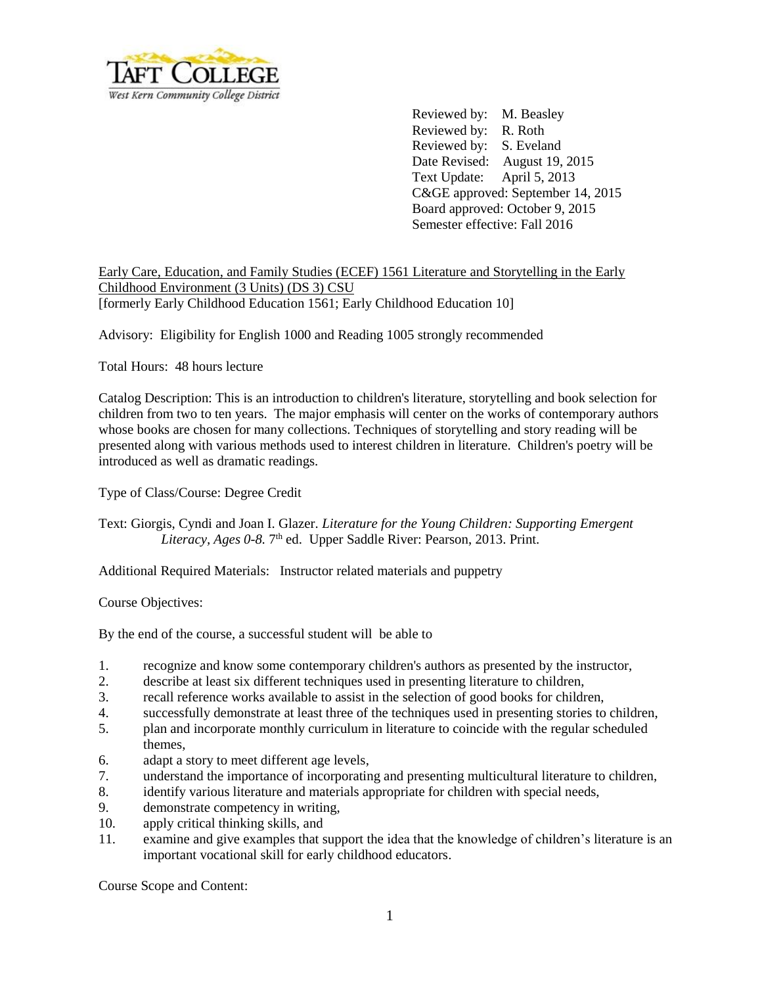

Reviewed by: M. Beasley Reviewed by: R. Roth Reviewed by: S. Eveland Date Revised: August 19, 2015 Text Update: April 5, 2013 C&GE approved: September 14, 2015 Board approved: October 9, 2015 Semester effective: Fall 2016

Early Care, Education, and Family Studies (ECEF) 1561 Literature and Storytelling in the Early Childhood Environment (3 Units) (DS 3) CSU [formerly Early Childhood Education 1561; Early Childhood Education 10]

Advisory: Eligibility for English 1000 and Reading 1005 strongly recommended

Total Hours: 48 hours lecture

Catalog Description: This is an introduction to children's literature, storytelling and book selection for children from two to ten years. The major emphasis will center on the works of contemporary authors whose books are chosen for many collections. Techniques of storytelling and story reading will be presented along with various methods used to interest children in literature. Children's poetry will be introduced as well as dramatic readings.

Type of Class/Course: Degree Credit

Text: Giorgis, Cyndi and Joan I. Glazer. *Literature for the Young Children: Supporting Emergent*  Literacy, Ages 0-8. 7<sup>th</sup> ed. Upper Saddle River: Pearson, 2013. Print.

Additional Required Materials: Instructor related materials and puppetry

Course Objectives:

By the end of the course, a successful student will be able to

- 1. recognize and know some contemporary children's authors as presented by the instructor,
- 2. describe at least six different techniques used in presenting literature to children,
- 3. recall reference works available to assist in the selection of good books for children,
- 4. successfully demonstrate at least three of the techniques used in presenting stories to children,
- 5. plan and incorporate monthly curriculum in literature to coincide with the regular scheduled themes,
- 6. adapt a story to meet different age levels,
- 7. understand the importance of incorporating and presenting multicultural literature to children,
- 8. identify various literature and materials appropriate for children with special needs,
- 9. demonstrate competency in writing,
- 10. apply critical thinking skills, and
- 11. examine and give examples that support the idea that the knowledge of children's literature is an important vocational skill for early childhood educators.

Course Scope and Content: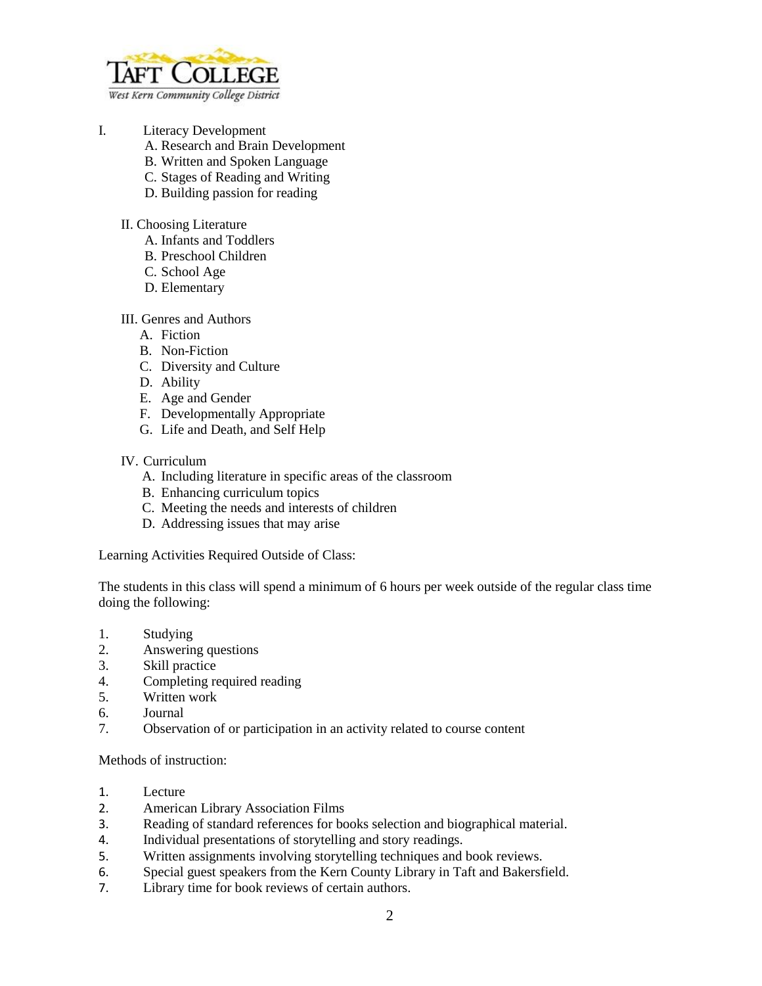

- I. Literacy Development
	- A. Research and Brain Development
	- B. Written and Spoken Language
	- C. Stages of Reading and Writing
	- D. Building passion for reading
	- II. Choosing Literature
		- A. Infants and Toddlers
		- B. Preschool Children
		- C. School Age
		- D. Elementary

## III. Genres and Authors

- A. Fiction
- B. Non-Fiction
- C. Diversity and Culture
- D. Ability
- E. Age and Gender
- F. Developmentally Appropriate
- G. Life and Death, and Self Help

## IV. Curriculum

- A. Including literature in specific areas of the classroom
- B. Enhancing curriculum topics
- C. Meeting the needs and interests of children
- D. Addressing issues that may arise

Learning Activities Required Outside of Class:

The students in this class will spend a minimum of 6 hours per week outside of the regular class time doing the following:

- 1. Studying
- 2. Answering questions
- 3. Skill practice
- 4. Completing required reading
- 5. Written work
- 6. Journal
- 7. Observation of or participation in an activity related to course content

Methods of instruction:

- 1. Lecture
- 2. American Library Association Films
- 3. Reading of standard references for books selection and biographical material.
- 4. Individual presentations of storytelling and story readings.
- 5. Written assignments involving storytelling techniques and book reviews.
- 6. Special guest speakers from the Kern County Library in Taft and Bakersfield.
- 7. Library time for book reviews of certain authors.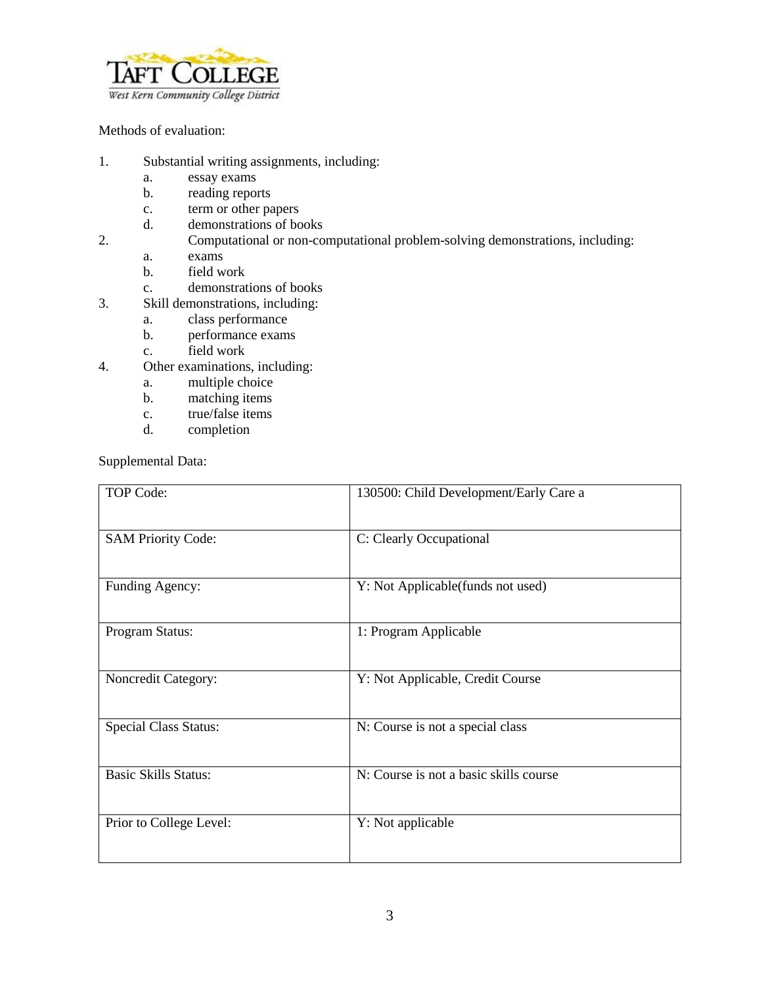

## Methods of evaluation:

- 1. Substantial writing assignments, including:
	- a. essay exams
	- b. reading reports
	- c. term or other papers
	- d. demonstrations of books
- 2. Computational or non-computational problem-solving demonstrations, including:
	- a. exams
	- b. field work
	- c. demonstrations of books
- 3. Skill demonstrations, including:
	- a. class performance
	- b. performance exams
	- c. field work
- 4. Other examinations, including:
	- a. multiple choice
	- b. matching items
	- c. true/false items
	- d. completion

Supplemental Data:

| <b>TOP Code:</b>             | 130500: Child Development/Early Care a |
|------------------------------|----------------------------------------|
| <b>SAM Priority Code:</b>    | C: Clearly Occupational                |
| Funding Agency:              | Y: Not Applicable(funds not used)      |
| Program Status:              | 1: Program Applicable                  |
| Noncredit Category:          | Y: Not Applicable, Credit Course       |
| <b>Special Class Status:</b> | N: Course is not a special class       |
| <b>Basic Skills Status:</b>  | N: Course is not a basic skills course |
| Prior to College Level:      | Y: Not applicable                      |